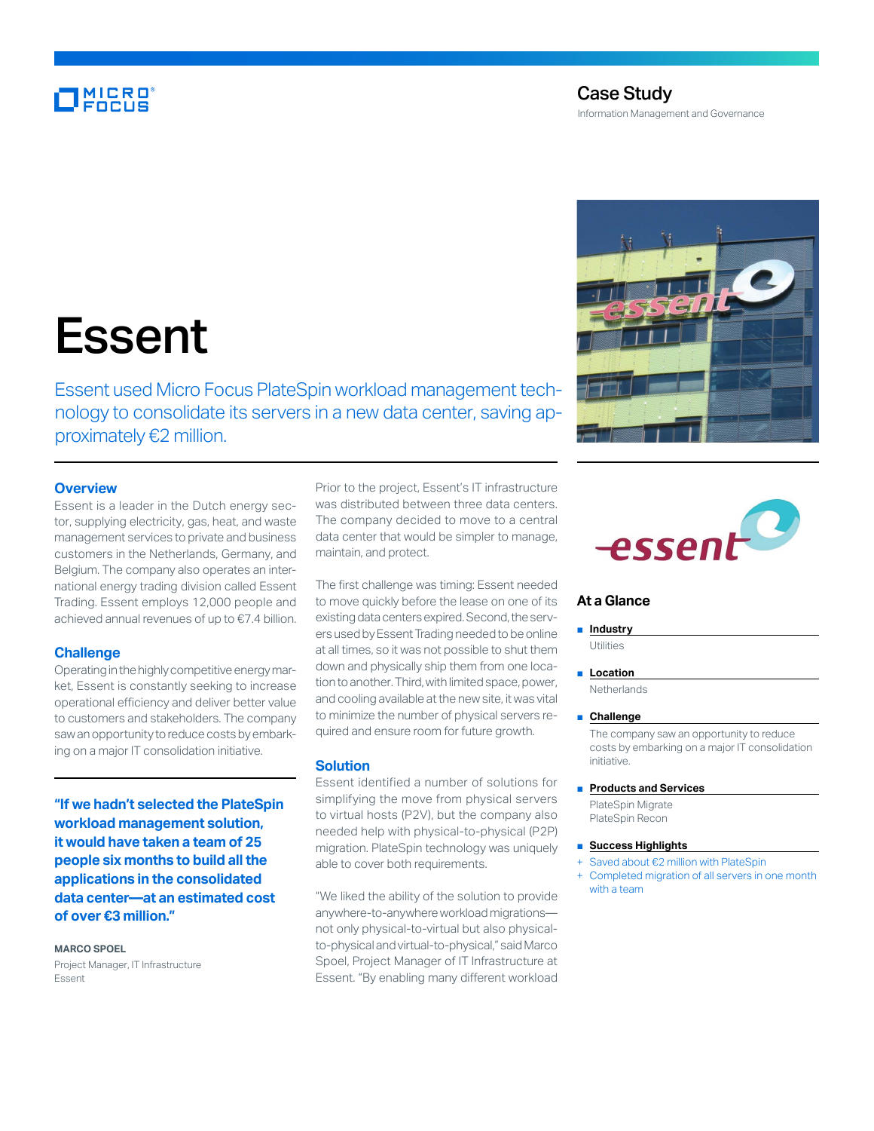# MICRO<br>FOCUS

### Case Study Information Management and Governance

# Essent

Essent used Micro Focus PlateSpin workload management technology to consolidate its servers in a new data center, saving approximately €2 million.

#### **Overview**

Essent is a leader in the Dutch energy sector, supplying electricity, gas, heat, and waste management services to private and business customers in the Netherlands, Germany, and Belgium. The company also operates an international energy trading division called Essent Trading. Essent employs 12,000 people and achieved annual revenues of up to €7.4 billion.

#### **Challenge**

Operating in the highly competitive energy market, Essent is constantly seeking to increase operational efficiency and deliver better value to customers and stakeholders. The company saw an opportunity to reduce costs by embarking on a major IT consolidation initiative.

**"If we hadn't selected the PlateSpin workload management solution, it would have taken a team of 25 people six months to build all the applications in the consolidated data center—at an estimated cost of over €3 million."**

#### **MARCO SPOEL**

Project Manager, IT Infrastructure Essent

Prior to the project, Essent's IT infrastructure was distributed between three data centers. The company decided to move to a central data center that would be simpler to manage, maintain, and protect.

The first challenge was timing: Essent needed to move quickly before the lease on one of its existing data centers expired. Second, the servers used by Essent Trading needed to be online at all times, so it was not possible to shut them down and physically ship them from one location to another. Third, with limited space, power, and cooling available at the new site, it was vital to minimize the number of physical servers required and ensure room for future growth.

#### **Solution**

Essent identified a number of solutions for simplifying the move from physical servers to virtual hosts (P2V), but the company also needed help with physical-to-physical (P2P) migration. PlateSpin technology was uniquely able to cover both requirements.

"We liked the ability of the solution to provide anywhere-to-anywhere workload migrations not only physical-to-virtual but also physicalto-physical and virtual-to-physical," said Marco Spoel, Project Manager of IT Infrastructure at Essent. "By enabling many different workload





#### **At a Glance**

■ **Industry** 

Utilities

■ **Location** 

**Netherlands** 

■ **Challenge** 

The company saw an opportunity to reduce costs by embarking on a major IT consolidation initiative.

■ **Products and Services** 

PlateSpin Migrate PlateSpin Recon

- **Success Highlights**
- Saved about €2 million with PlateSpin
- Completed migration of all servers in one month with a team